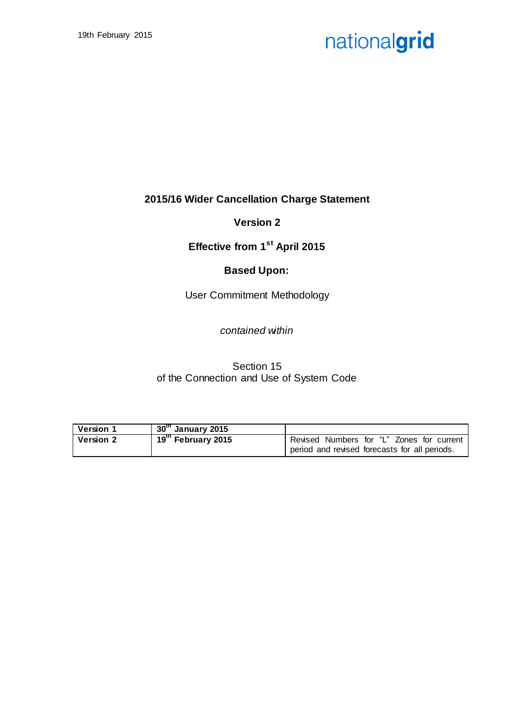## **2015/16 Wider Cancellation Charge Statement**

## **Version 2**

## **Effective from 1st April 2015**

## **Based Upon:**

User Commitment Methodology

### *contained within*

Section 15 of the Connection and Use of System Code

| <b>Version 1</b> | 30th January 2015  |                                               |
|------------------|--------------------|-----------------------------------------------|
| <b>Version 2</b> | 19th February 2015 | Revised Numbers for "L" Zones for current     |
|                  |                    | period and revised forecasts for all periods. |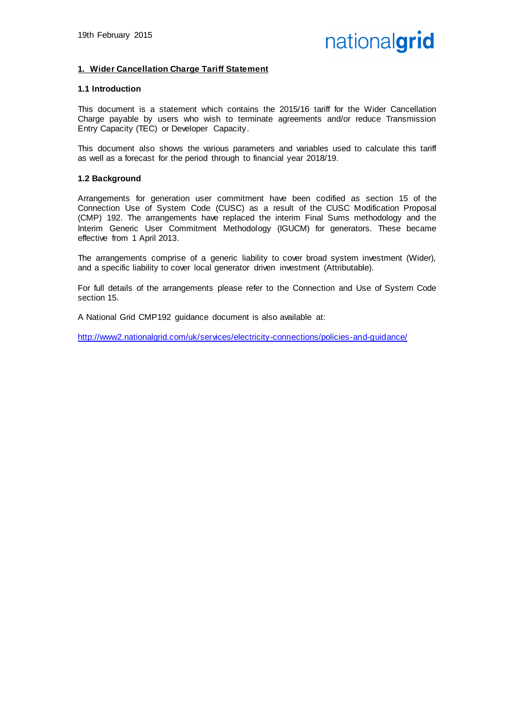#### **1. Wider Cancellation Charge Tariff Statement**

#### **1.1 Introduction**

This document is a statement which contains the 2015/16 tariff for the Wider Cancellation Charge payable by users who wish to terminate agreements and/or reduce Transmission Entry Capacity (TEC) or Developer Capacity.

This document also shows the various parameters and variables used to calculate this tariff as well as a forecast for the period through to financial year 2018/19.

#### **1.2 Background**

Arrangements for generation user commitment have been codified as section 15 of the Connection Use of System Code (CUSC) as a result of the CUSC Modification Proposal (CMP) 192. The arrangements have replaced the interim Final Sums methodology and the Interim Generic User Commitment Methodology (IGUCM) for generators. These became effective from 1 April 2013.

The arrangements comprise of a generic liability to cover broad system investment (Wider), and a specific liability to cover local generator driven investment (Attributable).

For full details of the arrangements please refer to the Connection and Use of System Code section 15.

A National Grid CMP192 guidance document is also available at:

<http://www2.nationalgrid.com/uk/services/electricity-connections/policies-and-guidance/>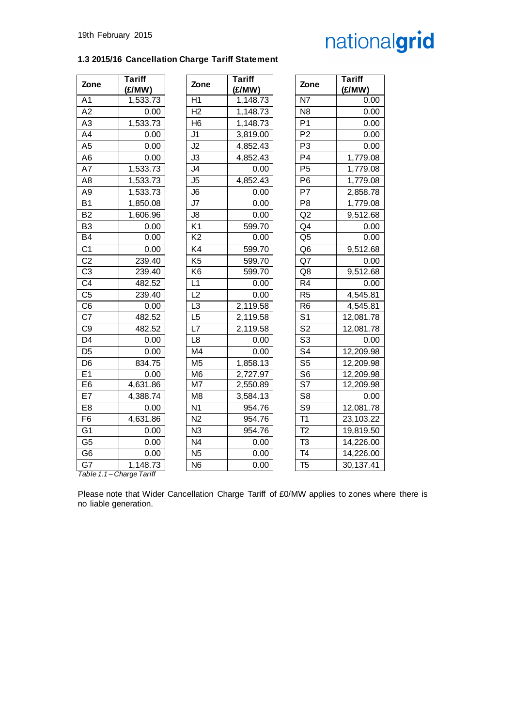### **1.3 2015/16 Cancellation Charge Tariff Statement**

| Zone                      | <b>Tariff</b><br>(E/MW) | Zone            | <b>Tariff</b><br>(£/MW) | Zone                     | <b>Tariff</b><br>(£/MW) |
|---------------------------|-------------------------|-----------------|-------------------------|--------------------------|-------------------------|
| A <sub>1</sub>            | 1,533.73                | H1              | 1,148.73                | <b>N7</b>                | 0.00                    |
| A2                        | 0.00                    | H2              | 1,148.73                | N <sub>8</sub>           | 0.00                    |
| A <sub>3</sub>            | 1,533.73                | H <sub>6</sub>  | 1,148.73                | P <sub>1</sub>           | 0.00                    |
| A4                        | 0.00                    | J <sub>1</sub>  | 3,819.00                | P <sub>2</sub>           | 0.00                    |
| A <sub>5</sub>            | 0.00                    | J2              | 4,852.43                | P <sub>3</sub>           | 0.00                    |
| A <sub>6</sub>            | 0.00                    | J3              | 4,852.43                | P <sub>4</sub>           | 1,779.08                |
| A7                        | 1,533.73                | $\overline{5}$  | 0.00                    | P <sub>5</sub>           | 1,779.08                |
| A8                        | 1,533.73                | J <sub>5</sub>  | 4,852.43                | P <sub>6</sub>           | 1,779.08                |
| A <sub>9</sub>            | 1,533.73                | J6              | 0.00                    | P7                       | 2,858.78                |
| <b>B1</b>                 | 1,850.08                | J7              | 0.00                    | P <sub>8</sub>           | 1,779.08                |
| B <sub>2</sub>            | 1,606.96                | J8              | 0.00                    | Q2                       | 9,512.68                |
| B <sub>3</sub>            | 0.00                    | K <sub>1</sub>  | 599.70                  | Q <sub>4</sub>           | 0.00                    |
| <b>B4</b>                 | 0.00                    | $\overline{K2}$ | 0.00                    | Q <sub>5</sub>           | 0.00                    |
| $\overline{C1}$           | 0.00                    | K4              | 599.70                  | Q <sub>6</sub>           | 9,512.68                |
| C <sub>2</sub>            | 239.40                  | K <sub>5</sub>  | 599.70                  | Q7                       | 0.00                    |
| C <sub>3</sub>            | 239.40                  | K <sub>6</sub>  | 599.70                  | Q8                       | $\overline{9,51}$ 2.68  |
| C <sub>4</sub>            | 482.52                  | L1              | 0.00                    | R <sub>4</sub>           | 0.00                    |
| C <sub>5</sub>            | 239.40                  | L <sub>2</sub>  | 0.00                    | R <sub>5</sub>           | 4,545.81                |
| C <sub>6</sub>            | 0.00                    | L <sub>3</sub>  | 2,119.58                | R <sub>6</sub>           | 4,545.81                |
| C7                        | 482.52                  | L <sub>5</sub>  | 2,119.58                | S <sub>1</sub>           | 12,081.78               |
| C <sub>9</sub>            | 482.52                  | L7              | 2,119.58                | S <sub>2</sub>           | 12,081.78               |
| D <sub>4</sub>            | 0.00                    | L8              | 0.00                    | $\overline{\mathsf{S}3}$ | 0.00                    |
| D <sub>5</sub>            | 0.00                    | M4              | 0.00                    | $\overline{\mathsf{S}4}$ | 12,209.98               |
| D <sub>6</sub>            | 834.75                  | M <sub>5</sub>  | 1,858.13                | S <sub>5</sub>           | 12,209.98               |
| E1                        | 0.00                    | M <sub>6</sub>  | 2,727.97                | S <sub>6</sub>           | 12,209.98               |
| E <sub>6</sub>            | 4,631.86                | M7              | 2,550.89                | S7                       | 12,209.98               |
| E7                        | 4,388.74                | M <sub>8</sub>  | 3,584.13                | S <sub>8</sub>           | 0.00                    |
| E <sub>8</sub>            | 0.00                    | N <sub>1</sub>  | 954.76                  | S <sub>9</sub>           | 12,081.78               |
| F6                        | 4,631.86                | $\overline{N2}$ | 954.76                  | $\overline{T1}$          | 23,103.22               |
| $\overline{G1}$           | 0.00                    | $\overline{N3}$ | 954.76                  | $\overline{12}$          | 19,819.50               |
| G <sub>5</sub>            | 0.00                    | N <sub>4</sub>  | 0.00                    | T <sub>3</sub>           | 14,226.00               |
| G <sub>6</sub>            | 0.00                    | $\overline{N5}$ | 0.00                    | T4                       | 14,226.00               |
| G7                        | 1,148.73                | $\overline{N6}$ | 0.00                    | T <sub>5</sub>           | 30,137.41               |
| Table 1.1 - Charge Tariff |                         |                 |                         |                          |                         |

Please note that Wider Cancellation Charge Tariff of £0/MW applies to zones where there is no liable generation.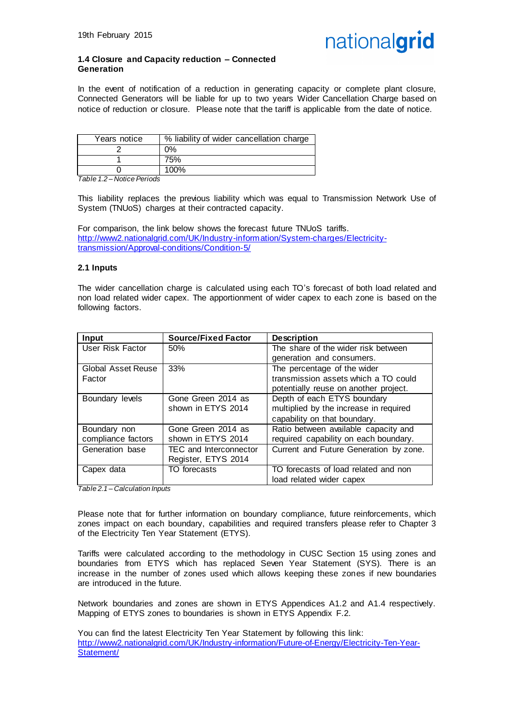

#### **1.4 Closure and Capacity reduction – Connected Generation**

In the event of notification of a reduction in generating capacity or complete plant closure, Connected Generators will be liable for up to two years Wider Cancellation Charge based on notice of reduction or closure. Please note that the tariff is applicable from the date of notice.

| Years notice | % liability of wider cancellation charge |
|--------------|------------------------------------------|
|              | $0\%$                                    |
|              | 75%                                      |
|              | 100%                                     |

*Table 1.2 – Notice Periods*

This liability replaces the previous liability which was equal to Transmission Network Use of System (TNUoS) charges at their contracted capacity.

For comparison, the link below shows the forecast future TNUoS tariffs. [http://www2.nationalgrid.com/UK/Industry-information/System-charges/Electricity](http://www2.nationalgrid.com/UK/Industry-information/System-charges/Electricity-transmission/Approval-conditions/Condition-5/)[transmission/Approval-conditions/Condition-5/](http://www2.nationalgrid.com/UK/Industry-information/System-charges/Electricity-transmission/Approval-conditions/Condition-5/)

#### **2.1 Inputs**

The wider cancellation charge is calculated using each TO's forecast of both load related and non load related wider capex. The apportionment of wider capex to each zone is based on the following factors.

| Input                     | <b>Source/Fixed Factor</b> | <b>Description</b>                     |
|---------------------------|----------------------------|----------------------------------------|
| User Risk Factor          | 50%                        | The share of the wider risk between    |
|                           |                            | generation and consumers.              |
| <b>Global Asset Reuse</b> | 33%                        | The percentage of the wider            |
| Factor                    |                            | transmission assets which a TO could   |
|                           |                            | potentially reuse on another project.  |
| Boundary levels           | Gone Green 2014 as         | Depth of each ETYS boundary            |
|                           | shown in ETYS 2014         | multiplied by the increase in required |
|                           |                            | capability on that boundary.           |
| Boundary non              | Gone Green 2014 as         | Ratio between available capacity and   |
| compliance factors        | shown in ETYS 2014         | required capability on each boundary.  |
| Generation base           | TEC and Interconnector     | Current and Future Generation by zone. |
|                           | Register, ETYS 2014        |                                        |
| Capex data                | TO forecasts               | TO forecasts of load related and non   |
|                           |                            | load related wider capex               |

*Table 2.1 – Calculation Inputs*

Please note that for further information on boundary compliance, future reinforcements, which zones impact on each boundary, capabilities and required transfers please refer to Chapter 3 of the Electricity Ten Year Statement (ETYS).

Tariffs were calculated according to the methodology in CUSC Section 15 using zones and boundaries from ETYS which has replaced Seven Year Statement (SYS). There is an increase in the number of zones used which allows keeping these zones if new boundaries are introduced in the future.

Network boundaries and zones are shown in ETYS Appendices A1.2 and A1.4 respectively. Mapping of ETYS zones to boundaries is shown in ETYS Appendix F.2.

You can find the latest Electricity Ten Year Statement by following this link: [http://www2.nationalgrid.com/UK/Industry-information/Future-of-Energy/Electricity-Ten-Year-](http://www2.nationalgrid.com/UK/Industry-information/Future-of-Energy/Electricity-Ten-Year-Statement/)[Statement/](http://www2.nationalgrid.com/UK/Industry-information/Future-of-Energy/Electricity-Ten-Year-Statement/)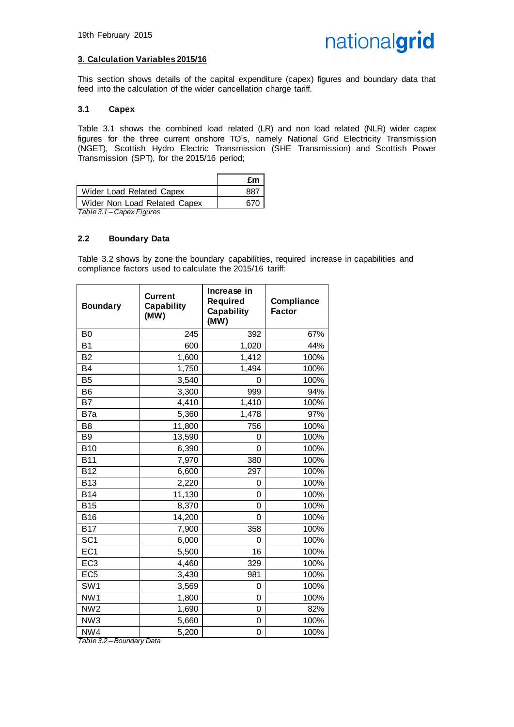#### **3. Calculation Variables 2015/16**

This section shows details of the capital expenditure (capex) figures and boundary data that feed into the calculation of the wider cancellation charge tariff.

#### **3.1 Capex**

Table 3.1 shows the combined load related (LR) and non load related (NLR) wider capex figures for the three current onshore TO's, namely National Grid Electricity Transmission (NGET), Scottish Hydro Electric Transmission (SHE Transmission) and Scottish Power Transmission (SPT), for the 2015/16 period;

|                              | £m  |
|------------------------------|-----|
| Wider Load Related Capex     | 887 |
| Wider Non Load Related Capex | 670 |

*Table 3.1 – Capex Figures*

#### **2.2 Boundary Data**

Table 3.2 shows by zone the boundary capabilities, required increase in capabilities and compliance factors used to calculate the 2015/16 tariff:

| <b>Boundary</b>         | <b>Current</b><br>Capability<br>(MW) | Increase in<br><b>Required</b><br><b>Capability</b><br>(MW) | Compliance<br><b>Factor</b> |
|-------------------------|--------------------------------------|-------------------------------------------------------------|-----------------------------|
| B <sub>0</sub>          | 245                                  | 392                                                         | 67%                         |
| <b>B1</b>               | 600                                  | 1,020                                                       | 44%                         |
| <b>B2</b>               | 1,600                                | 1,412                                                       | 100%                        |
| <b>B4</b>               | 1,750                                | 1,494                                                       | 100%                        |
| <b>B5</b>               | 3,540                                | 0                                                           | 100%                        |
| B <sub>6</sub>          | 3,300                                | 999                                                         | 94%                         |
| <b>B7</b>               | 4,410                                | 1,410                                                       | 100%                        |
| B7a                     | 5,360                                | 1,478                                                       | 97%                         |
| B <sub>8</sub>          | 11,800                               | 756                                                         | 100%                        |
| B <sub>9</sub>          | 13,590                               | 0                                                           | 100%                        |
| <b>B10</b>              | 6,390                                | 0                                                           | 100%                        |
| <b>B11</b>              | 7,970                                | 380                                                         | 100%                        |
| <b>B12</b>              | 6,600                                | 297                                                         | 100%                        |
| <b>B13</b>              | 2,220                                | 0                                                           | 100%                        |
| <b>B14</b>              | 11,130                               | 0                                                           | 100%                        |
| <b>B15</b>              | 8,370                                | 0                                                           | 100%                        |
| <b>B16</b>              | 14,200                               | 0                                                           | 100%                        |
| <b>B17</b>              | 7,900                                | 358                                                         | 100%                        |
| SC <sub>1</sub>         | 6,000                                | 0                                                           | 100%                        |
| EC <sub>1</sub>         | 5,500                                | 16                                                          | 100%                        |
| EC <sub>3</sub>         | 4,460                                | 329                                                         | 100%                        |
| EC <sub>5</sub>         | 3,430                                | 981                                                         | 100%                        |
| SW <sub>1</sub>         | 3,569                                | 0                                                           | 100%                        |
| NW <sub>1</sub>         | 1,800                                | 0                                                           | 100%                        |
| $\overline{\text{NW2}}$ | 1,690                                | 0                                                           | 82%                         |
| NW <sub>3</sub>         | 5,660                                | 0                                                           | 100%                        |
| NW4                     | 5,200                                | 0                                                           | 100%                        |

*Table 3.2 – Boundary Data*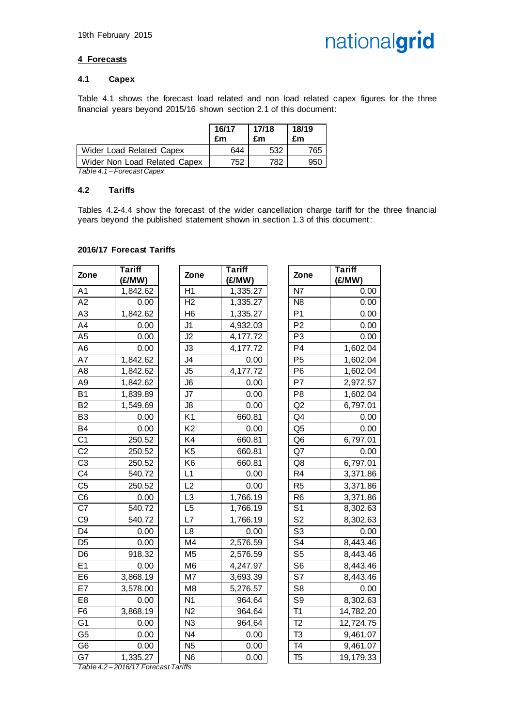

#### **4 Forecasts**

#### **4.1 Capex**

Table 4.1 shows the forecast load related and non load related capex figures for the three financial years beyond 2015/16 shown section 2.1 of this document:

|                              | 16/17<br>£m | 17/18<br>£m | 18/19<br>£m |
|------------------------------|-------------|-------------|-------------|
| Wider Load Related Capex     | 644         | 532         | 765         |
| Wider Non Load Related Capex | 752         | 782         | 950         |

*Table 4.1 – Forecast Capex*

#### **4.2 Tariffs**

Tables 4.2-4.4 show the forecast of the wider cancellation charge tariff for the three financial years beyond the published statement shown in section 1.3 of this document:

#### **2016/17 Forecast Tariffs**

| Zone           | <b>Tariff</b><br>(£/MW) | Zone            | <b>Tariff</b><br>(£/MW) | Zone                      | <b>Tariff</b><br>(£/MW) |
|----------------|-------------------------|-----------------|-------------------------|---------------------------|-------------------------|
| A <sub>1</sub> | 1,842.62                | H1              | 1,335.27                | N7                        | 0.00                    |
| A2             | 0.00                    | H2              | 1,335.27                | N <sub>8</sub>            | 0.00                    |
| A <sub>3</sub> | 1,842.62                | H <sub>6</sub>  | 1,335.27                | P <sub>1</sub>            | 0.00                    |
| A4             | 0.00                    | J <sub>1</sub>  | 4,932.03                | P <sub>2</sub>            | 0.00                    |
| A <sub>5</sub> | 0.00                    | J2              | 4,177.72                | P <sub>3</sub>            | 0.00                    |
| A <sub>6</sub> | 0.00                    | J3              | 4,177.72                | P <sub>4</sub>            | 1,602.04                |
| A7             | 1,842.62                | J4              | 0.00                    | P <sub>5</sub>            | 1,602.04                |
| A <sub>8</sub> | 1,842.62                | J <sub>5</sub>  | 4,177.72                | P <sub>6</sub>            | 1,602.04                |
| A <sub>9</sub> | 1,842.62                | J6              | 0.00                    | P7                        | 2,972.57                |
| <b>B1</b>      | 1,839.89                | J7              | 0.00                    | P <sub>8</sub>            | 1,602.04                |
| <b>B2</b>      | 1,549.69                | J8              | 0.00                    | Q2                        | 6,797.01                |
| B <sub>3</sub> | 0.00                    | K <sub>1</sub>  | 660.81                  | Q <sub>4</sub>            | 0.00                    |
| <b>B4</b>      | 0.00                    | K <sub>2</sub>  | 0.00                    | Q <sub>5</sub>            | 0.00                    |
| C <sub>1</sub> | 250.52                  | K4              | 660.81                  | Q <sub>6</sub>            | 6,797.01                |
| C <sub>2</sub> | 250.52                  | K <sub>5</sub>  | 660.81                  | Q7                        | 0.00                    |
| C <sub>3</sub> | 250.52                  | K <sub>6</sub>  | 660.81                  | Q8                        | 6,797.01                |
| C <sub>4</sub> | 540.72                  | L1              | 0.00                    | R <sub>4</sub>            | 3,371.86                |
| C <sub>5</sub> | 250.52                  | L2              | 0.00                    | R <sub>5</sub>            | 3,371.86                |
| C <sub>6</sub> | 0.00                    | L <sub>3</sub>  | 1,766.19                | R <sub>6</sub>            | 3,371.86                |
| C7             | 540.72                  | L <sub>5</sub>  | 1,766.19                | $\overline{\mathsf{S}^1}$ | 8,302.63                |
| C <sub>9</sub> | 540.72                  | L7              | 1,766.19                | S <sub>2</sub>            | 8,302.63                |
| D <sub>4</sub> | 0.00                    | L8              | 0.00                    | S <sub>3</sub>            | 0.00                    |
| D <sub>5</sub> | 0.00                    | M4              | 2,576.59                | S <sub>4</sub>            | 8,443.46                |
| D <sub>6</sub> | 918.32                  | M <sub>5</sub>  | 2,576.59                | S <sub>5</sub>            | 8,443.46                |
| E1             | 0.00                    | M <sub>6</sub>  | 4,247.97                | S <sub>6</sub>            | 8,443.46                |
| E <sub>6</sub> | 3,868.19                | $\overline{M7}$ | 3,693.39                | S7                        | 8,443.46                |
| E7             | 3,578.00                | M <sub>8</sub>  | 5,276.57                | S <sub>8</sub>            | 0.00                    |
| E <sub>8</sub> | 0.00                    | N <sub>1</sub>  | 964.64                  | S <sub>9</sub>            | 8,302.63                |
| F <sub>6</sub> | 3,868.19                | N <sub>2</sub>  | 964.64                  | $\overline{T1}$           | 14,782.20               |
| G <sub>1</sub> | 0.00                    | N <sub>3</sub>  | 964.64                  | T <sub>2</sub>            | 12,724.75               |
| G <sub>5</sub> | 0.00                    | N <sub>4</sub>  | 0.00                    | T <sub>3</sub>            | 9,461.07                |
| G <sub>6</sub> | 0.00                    | N <sub>5</sub>  | 0.00                    | $\overline{74}$           | 9,461.07                |
| G7             | 1,335.27                | N <sub>6</sub>  | 0.00                    | T <sub>5</sub>            | 19,179.33               |

*Table 4.2 – 2016/17 Forecast Tariffs*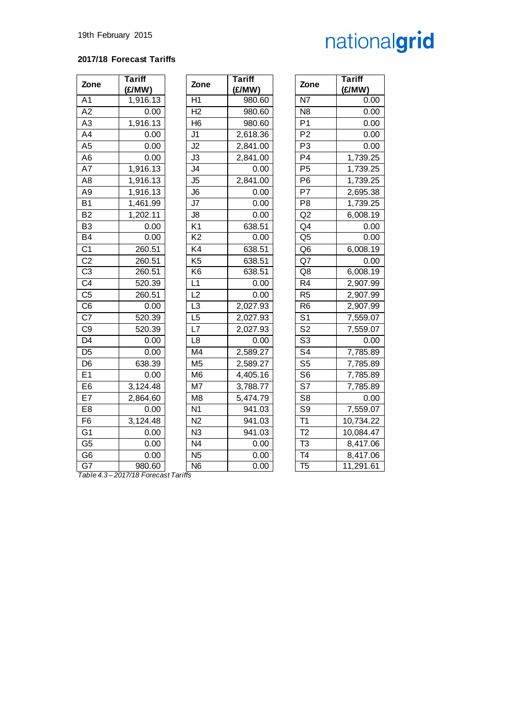#### **2017/18 Forecast Tariffs**

| Zone            | <b>Tariff</b> |
|-----------------|---------------|
|                 | (£/MW)        |
| A <sub>1</sub>  | 1,916.13      |
| A2              | 0.00          |
| A3              | 1,916.13      |
| A4              | 0.00          |
| A <sub>5</sub>  | 0.00          |
| A <sub>6</sub>  | 0.00          |
| A7              | 1,916.13      |
| A8              | 1,916.13      |
| A9              | 1,916.13      |
| <b>B1</b>       | 1,461.99      |
| B <sub>2</sub>  | 1,202.11      |
| B <sub>3</sub>  | 0.00          |
| <b>B4</b>       | 0.00          |
| C <sub>1</sub>  | 260.51        |
| C <sub>2</sub>  | 260.51        |
| C <sub>3</sub>  | 260.51        |
| $\overline{C}4$ | 520.39        |
| C <sub>5</sub>  | 260.51        |
| C <sub>6</sub>  | 0.00          |
| C7              | 520.39        |
| C <sub>9</sub>  | 520.39        |
| D4              | 0.00          |
| D <sub>5</sub>  | 0.00          |
| D <sub>6</sub>  | 638.39        |
| E <sub>1</sub>  | 0.00          |
| E <sub>6</sub>  | 3,124.48      |
| E7              | 2,864.60      |
| E8              | 0.00          |
| F6              | 3,124.48      |
| G1              | 0.00          |
| G <sub>5</sub>  | 0.00          |
| G6              | 0.00          |
| G7              | 980.60        |

| Zone                                | <b>Tariff</b><br>(£/MW) | Zone            | <b>Tariff</b><br>(£/MW) | Zone                     | <b>Tariff</b><br>(E/MW) |
|-------------------------------------|-------------------------|-----------------|-------------------------|--------------------------|-------------------------|
| $\overline{A1}$                     | 1,916.13                | H1              | 980.60                  | N7                       | 0.00                    |
| $\overline{A2}$                     | 0.00                    | H <sub>2</sub>  | 980.60                  | N <sub>8</sub>           | 0.00                    |
| A3                                  | 1,916.13                | H <sub>6</sub>  | 980.60                  | P <sub>1</sub>           | 0.00                    |
| A4                                  | 0.00                    | J1              | 2,618.36                | P <sub>2</sub>           | 0.00                    |
| $\overline{A5}$                     | 0.00                    | $\overline{J2}$ | 2,841.00                | P <sub>3</sub>           | 0.00                    |
| A6                                  | 0.00                    | J3              | 2,841.00                | P <sub>4</sub>           | 1,739.25                |
| A7                                  | 1,916.13                | J4              | 0.00                    | P <sub>5</sub>           | 1,739.25                |
| $\overline{AB}$                     | 1,916.13                | J5              | 2,841.00                | P <sub>6</sub>           | 1,739.25                |
| A9                                  | 1,916.13                | J6              | 0.00                    | P7                       | 2,695.38                |
| $\overline{B1}$                     | 1,461.99                | J7              | 0.00                    | P <sub>8</sub>           | 1,739.25                |
| $\overline{B2}$                     | 1,202.11                | J8              | 0.00                    | Q2                       | 6,008.19                |
| B3                                  | 0.00                    | K <sub>1</sub>  | 638.51                  | Q4                       | 0.00                    |
| $\overline{B4}$                     | 0.00                    | $\overline{K2}$ | 0.00                    | Q <sub>5</sub>           | 0.00                    |
| C <sub>1</sub>                      | 260.51                  | K4              | 638.51                  | Q <sub>6</sub>           | 6,008.19                |
| C <sub>2</sub>                      | 260.51                  | K <sub>5</sub>  | 638.51                  | Q7                       | 0.00                    |
| C3                                  | 260.51                  | K <sub>6</sub>  | 638.51                  | Q8                       | 6,008.19                |
| $\overline{\text{C4}}$              | 520.39                  | L1              | 0.00                    | R <sub>4</sub>           | 2,907.99                |
| C5                                  | 260.51                  | L <sub>2</sub>  | 0.00                    | R <sub>5</sub>           | 2,907.99                |
| $\overline{\text{C6}}$              | 0.00                    | $\overline{L3}$ | 2,027.93                | R <sub>6</sub>           | 2,907.99                |
| $\overline{C7}$                     | 520.39                  | L <sub>5</sub>  | 2,027.93                | S <sub>1</sub>           | 7,559.07                |
| C9                                  | 520.39                  | L7              | 2,027.93                | S <sub>2</sub>           | 7,559.07                |
| $\overline{D4}$                     | 0.00                    | L <sub>8</sub>  | 0.00                    | S <sub>3</sub>           | 0.00                    |
| $\overline{D5}$                     | 0.00                    | M4              | 2,589.27                | S <sub>4</sub>           | 7,785.89                |
| D <sub>6</sub>                      | 638.39                  | M <sub>5</sub>  | 2,589.27                | S <sub>5</sub>           | 7,785.89                |
| E1                                  | 0.00                    | M <sub>6</sub>  | 4,405.16                | S <sub>6</sub>           | 7,785.89                |
| E6                                  | 3,124.48                | M7              | 3,788.77                | $\overline{\mathsf{S}7}$ | 7,785.89                |
| E7                                  | 2,864.60                | M <sub>8</sub>  | 5,474.79                | S <sub>8</sub>           | 0.00                    |
| E8                                  | 0.00                    | N <sub>1</sub>  | 941.03                  | S <sub>9</sub>           | 7,559.07                |
| $\overline{F6}$                     | 3,124.48                | N <sub>2</sub>  | 941.03                  | T <sub>1</sub>           | 10,734.22               |
| G1                                  | 0.00                    | N <sub>3</sub>  | 941.03                  | T <sub>2</sub>           | 10,084.47               |
| G5                                  | 0.00                    | N <sub>4</sub>  | 0.00                    | T <sub>3</sub>           | 8,417.06                |
| $\overline{\overline{\mathsf{G6}}}$ | 0.00                    | N <sub>5</sub>  | 0.00                    | $\overline{74}$          | 8,417.06                |
| G7                                  | 980.60                  | N <sub>6</sub>  | 0.00                    | T <sub>5</sub>           | 11,291.61               |

| Zone                     | іапіт<br>(£/MW) |
|--------------------------|-----------------|
| N7                       | 0.00            |
| N8                       | 0.00            |
| P1                       | 0.00            |
| P <sub>2</sub>           | 0.00            |
| P3                       | 0.00            |
| P4                       | 1,739.25        |
| P5                       | 1,739.25        |
| P6                       | 1,739.25        |
| P7                       | 2,695.38        |
| P8                       | 1,739.25        |
| Q <sub>2</sub>           | 6,008.19        |
| Q4                       | 0.00            |
| Q5                       | 0.00            |
| Q6                       | 6,008.19        |
| Q7                       | 0.00            |
| Q8                       | 6,008.19        |
| R4                       | 2,907.99        |
| R <sub>5</sub>           | 2,907.99        |
| R6                       | 2,907.99        |
| S1                       | 7,559.07        |
| S2                       | 7,559.07        |
| S3                       | 0.00            |
| S4                       | 7,785.89        |
| S5                       | 7,785.89        |
| S6                       | 7,785.89        |
| S7                       | 7,785.89        |
| S8                       | 0.00            |
| S9                       | 7,559.07        |
| T <sub>1</sub>           | 10,734.22       |
| T <sub>2</sub>           | 10,084.47       |
| $\overline{\text{I}3}$   | 8,417.06        |
| $\overline{\mathsf{T4}}$ | 8,417.06        |
| T5                       | 11,291.61       |

*Table 4.3 – 2017/18 Forecast Tariffs*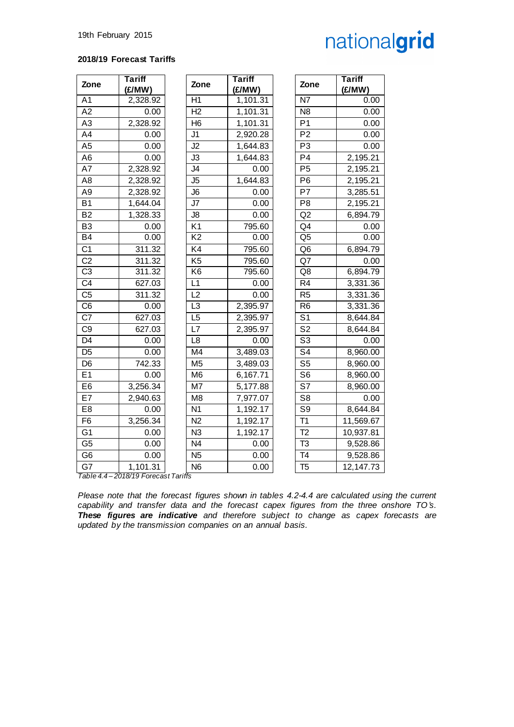#### **2018/19 Forecast Tariffs**

| Zone            | <b>Tariff</b><br>(£/MW)            | Zone                           | <b>Tariff</b><br>(E/MW) | Zone                     | <b>Tariff</b><br>(£/MW) |
|-----------------|------------------------------------|--------------------------------|-------------------------|--------------------------|-------------------------|
| A <sub>1</sub>  | 2,328.92                           | H1                             | 1,101.31                | N7                       | 0.00                    |
| $\overline{A2}$ | 0.00                               | H <sub>2</sub>                 | 1,101.31                | $\overline{N8}$          | 0.00                    |
| A <sub>3</sub>  | 2,328.92                           | H <sub>6</sub>                 | 1,101.31                | P <sub>1</sub>           | 0.00                    |
| A4              | 0.00                               | J1                             | 2,920.28                | $\overline{P2}$          | 0.00                    |
| A <sub>5</sub>  | 0.00                               | J2                             | 1,644.83                | P <sub>3</sub>           | 0.00                    |
| A <sub>6</sub>  | 0.00                               | J3                             | 1,644.83                | P <sub>4</sub>           | 2,195.21                |
| A7              | 2,328.92                           | J4                             | 0.00                    | P <sub>5</sub>           | 2,195.21                |
| A <sub>8</sub>  | 2,328.92                           | J <sub>5</sub>                 | 1,644.83                | P <sub>6</sub>           | 2,195.21                |
| A <sub>9</sub>  | 2,328.92                           | J6                             | 0.00                    | P7                       | 3,285.51                |
| <b>B1</b>       | 1,644.04                           | J7                             | 0.00                    | P <sub>8</sub>           | 2,195.21                |
| $\overline{B2}$ | 1,328.33                           | J8                             | 0.00                    | Q2                       | 6,894.79                |
| B <sub>3</sub>  | 0.00                               | K <sub>1</sub>                 | 795.60                  | Q <sub>4</sub>           | 0.00                    |
| B <sub>4</sub>  | 0.00                               | $\overline{K2}$                | 0.00                    | Q <sub>5</sub>           | 0.00                    |
| C <sub>1</sub>  | 311.32                             | K4                             | 795.60                  | Q <sub>6</sub>           | 6,894.79                |
| C <sub>2</sub>  | 311.32                             | K <sub>5</sub>                 | 795.60                  | Q7                       | 0.00                    |
| $\overline{C3}$ | 311.32                             | K6                             | 795.60                  | Q8                       | $\overline{6}$ ,894.79  |
| C <sub>4</sub>  | 627.03                             | L1                             | 0.00                    | R <sub>4</sub>           | 3,331.36                |
| C <sub>5</sub>  | 311.32                             | L <sub>2</sub>                 | 0.00                    | R <sub>5</sub>           | 3,331.36                |
| C <sub>6</sub>  | 0.00                               | L <sub>3</sub>                 | 2,395.97                | R <sub>6</sub>           | 3,331.36                |
| $\overline{C}$  | 627.03                             | L <sub>5</sub>                 | 2,395.97                | $\overline{S}$           | 8,644.84                |
| C <sub>9</sub>  | 627.03                             | L7                             | 2,395.97                | $\overline{\mathsf{S}2}$ | 8,644.84                |
| D <sub>4</sub>  | 0.00                               | L <sub>8</sub>                 | 0.00                    | $\overline{\mathsf{S}3}$ | 0.00                    |
| D <sub>5</sub>  | 0.00                               | M4                             | 3,489.03                | $\overline{\mathsf{S}4}$ | 8,960.00                |
| D <sub>6</sub>  | 742.33                             | M <sub>5</sub>                 | 3,489.03                | S <sub>5</sub>           | 8,960.00                |
| E1              | 0.00                               | M <sub>6</sub>                 | 6,167.71                | S <sub>6</sub>           | 8,960.00                |
| E6              | 3,256.34                           | $\overline{M7}$                | $\overline{5,177.88}$   | $\overline{\mathsf{S}7}$ | 8,960.00                |
| E7              | 2,940.63                           | M <sub>8</sub>                 | 7,977.07                | S <sub>8</sub>           | 0.00                    |
| E <sub>8</sub>  | 0.00                               | $\overline{N1}$                | 1,192.17                | S <sub>9</sub>           | 8,644.84                |
| F <sub>6</sub>  | 3,256.34                           | N <sub>2</sub>                 | 1,192.17                | T1                       | 11,569.67               |
| G <sub>1</sub>  | 0.00                               | N <sub>3</sub>                 | 1,192.17                | T <sub>2</sub>           | 10,937.81               |
| $\overline{G5}$ | 0.00                               | $\overline{N4}$                | 0.00                    | $\overline{13}$          | 9,528.86                |
| G <sub>6</sub>  | 0.00                               | N <sub>5</sub>                 | 0.00                    | $\overline{74}$          | 9,528.86                |
| G7<br>Table 4   | 1,101.31<br>$2010/10$ $T_{\alpha}$ | N <sub>6</sub><br>$T_{\alpha}$ | 0.00                    | T <sub>5</sub>           | 12, 147. 73             |

*Table 4.4 – 2018/19 Forecast Tariffs*

*Please note that the forecast figures shown in tables 4.2-4.4 are calculated using the current capability and transfer data and the forecast capex figures from the three onshore TO's. These figures are indicative and therefore subject to change as capex forecasts are updated by the transmission companies on an annual basis.*